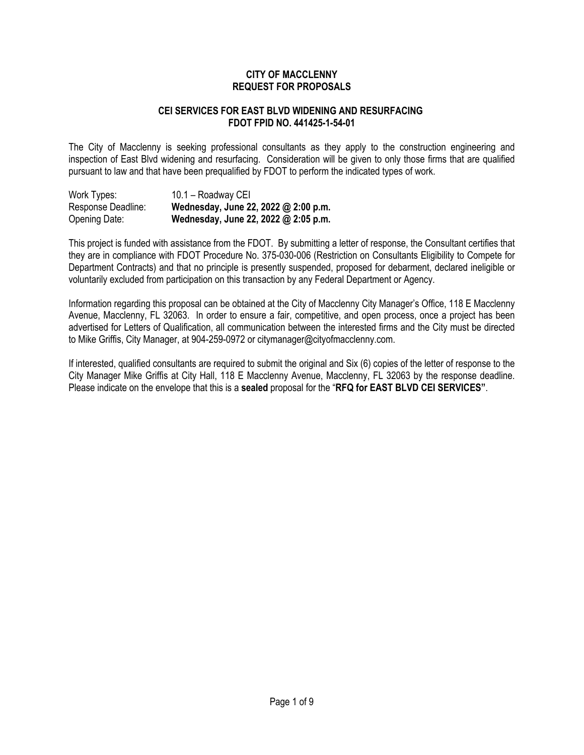#### **CITY OF MACCLENNY REQUEST FOR PROPOSALS**

#### **CEI SERVICES FOR EAST BLVD WIDENING AND RESURFACING FDOT FPID NO. 441425-1-54-01**

The City of Macclenny is seeking professional consultants as they apply to the construction engineering and inspection of East Blvd widening and resurfacing. Consideration will be given to only those firms that are qualified pursuant to law and that have been prequalified by FDOT to perform the indicated types of work.

| Work Types:        | 10.1 - Roadway CEI                   |
|--------------------|--------------------------------------|
| Response Deadline: | Wednesday, June 22, 2022 @ 2:00 p.m. |
| Opening Date:      | Wednesday, June 22, 2022 @ 2:05 p.m. |

This project is funded with assistance from the FDOT. By submitting a letter of response, the Consultant certifies that they are in compliance with FDOT Procedure No. 375-030-006 (Restriction on Consultants Eligibility to Compete for Department Contracts) and that no principle is presently suspended, proposed for debarment, declared ineligible or voluntarily excluded from participation on this transaction by any Federal Department or Agency.

Information regarding this proposal can be obtained at the City of Macclenny City Manager's Office, 118 E Macclenny Avenue, Macclenny, FL 32063. In order to ensure a fair, competitive, and open process, once a project has been advertised for Letters of Qualification, all communication between the interested firms and the City must be directed to Mike Griffis, City Manager, at 904-259-0972 or citymanager@cityofmacclenny.com.

If interested, qualified consultants are required to submit the original and Six (6) copies of the letter of response to the City Manager Mike Griffis at City Hall, 118 E Macclenny Avenue, Macclenny, FL 32063 by the response deadline. Please indicate on the envelope that this is a **sealed** proposal for the "**RFQ for EAST BLVD CEI SERVICES"**.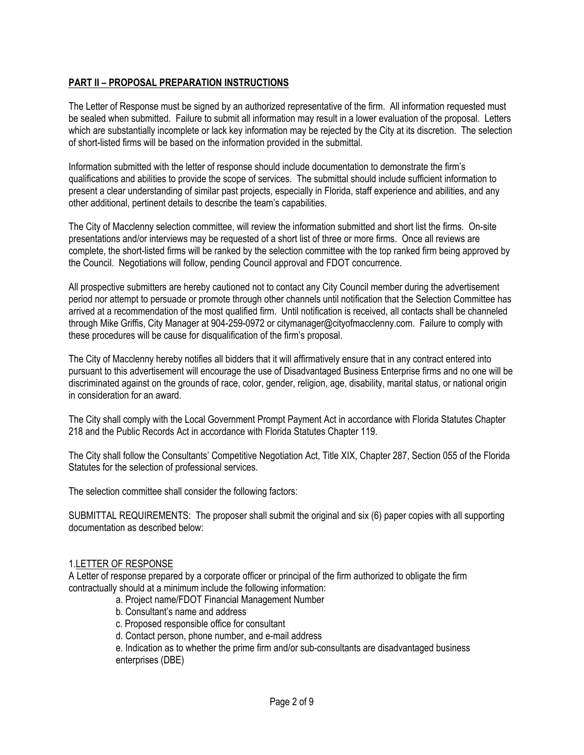# **PART II – PROPOSAL PREPARATION INSTRUCTIONS**

The Letter of Response must be signed by an authorized representative of the firm. All information requested must be sealed when submitted. Failure to submit all information may result in a lower evaluation of the proposal. Letters which are substantially incomplete or lack key information may be rejected by the City at its discretion. The selection of short-listed firms will be based on the information provided in the submittal.

Information submitted with the letter of response should include documentation to demonstrate the firm's qualifications and abilities to provide the scope of services. The submittal should include sufficient information to present a clear understanding of similar past projects, especially in Florida, staff experience and abilities, and any other additional, pertinent details to describe the team's capabilities.

The City of Macclenny selection committee, will review the information submitted and short list the firms. On-site presentations and/or interviews may be requested of a short list of three or more firms. Once all reviews are complete, the short-listed firms will be ranked by the selection committee with the top ranked firm being approved by the Council. Negotiations will follow, pending Council approval and FDOT concurrence.

All prospective submitters are hereby cautioned not to contact any City Council member during the advertisement period nor attempt to persuade or promote through other channels until notification that the Selection Committee has arrived at a recommendation of the most qualified firm. Until notification is received, all contacts shall be channeled through Mike Griffis, City Manager at 904-259-0972 or citymanager@cityofmacclenny.com. Failure to comply with these procedures will be cause for disqualification of the firm's proposal.

The City of Macclenny hereby notifies all bidders that it will affirmatively ensure that in any contract entered into pursuant to this advertisement will encourage the use of Disadvantaged Business Enterprise firms and no one will be discriminated against on the grounds of race, color, gender, religion, age, disability, marital status, or national origin in consideration for an award.

The City shall comply with the Local Government Prompt Payment Act in accordance with Florida Statutes Chapter 218 and the Public Records Act in accordance with Florida Statutes Chapter 119.

The City shall follow the Consultants' Competitive Negotiation Act, Title XIX, Chapter 287, Section 055 of the Florida Statutes for the selection of professional services.

The selection committee shall consider the following factors:

SUBMITTAL REQUIREMENTS: The proposer shall submit the original and six (6) paper copies with all supporting documentation as described below:

#### 1.LETTER OF RESPONSE

A Letter of response prepared by a corporate officer or principal of the firm authorized to obligate the firm contractually should at a minimum include the following information:

- a. Project name/FDOT Financial Management Number
- b. Consultant's name and address
- c. Proposed responsible office for consultant
- d. Contact person, phone number, and e-mail address

e. Indication as to whether the prime firm and/or sub-consultants are disadvantaged business enterprises (DBE)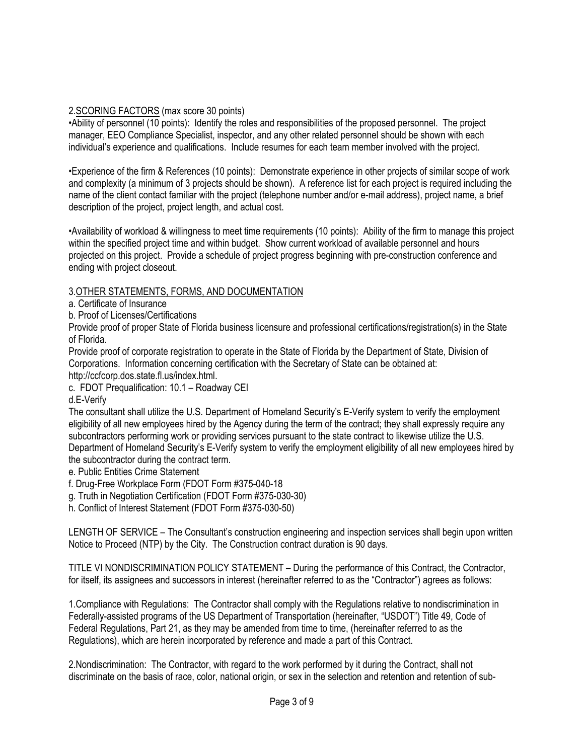## 2.SCORING FACTORS (max score 30 points)

•Ability of personnel (10 points): Identify the roles and responsibilities of the proposed personnel. The project manager, EEO Compliance Specialist, inspector, and any other related personnel should be shown with each individual's experience and qualifications. Include resumes for each team member involved with the project.

•Experience of the firm & References (10 points): Demonstrate experience in other projects of similar scope of work and complexity (a minimum of 3 projects should be shown). A reference list for each project is required including the name of the client contact familiar with the project (telephone number and/or e-mail address), project name, a brief description of the project, project length, and actual cost.

•Availability of workload & willingness to meet time requirements (10 points): Ability of the firm to manage this project within the specified project time and within budget. Show current workload of available personnel and hours projected on this project. Provide a schedule of project progress beginning with pre-construction conference and ending with project closeout.

#### 3.OTHER STATEMENTS, FORMS, AND DOCUMENTATION

a. Certificate of Insurance

b. Proof of Licenses/Certifications

Provide proof of proper State of Florida business licensure and professional certifications/registration(s) in the State of Florida.

Provide proof of corporate registration to operate in the State of Florida by the Department of State, Division of Corporations. Information concerning certification with the Secretary of State can be obtained at: http://ccfcorp.dos.state.fl.us/index.html.

c. FDOT Prequalification: 10.1 – Roadway CEI

d.E-Verify

The consultant shall utilize the U.S. Department of Homeland Security's E-Verify system to verify the employment eligibility of all new employees hired by the Agency during the term of the contract; they shall expressly require any subcontractors performing work or providing services pursuant to the state contract to likewise utilize the U.S. Department of Homeland Security's E-Verify system to verify the employment eligibility of all new employees hired by the subcontractor during the contract term.

e. Public Entities Crime Statement

f. Drug-Free Workplace Form (FDOT Form #375-040-18

g. Truth in Negotiation Certification (FDOT Form #375-030-30)

h. Conflict of Interest Statement (FDOT Form #375-030-50)

LENGTH OF SERVICE – The Consultant's construction engineering and inspection services shall begin upon written Notice to Proceed (NTP) by the City. The Construction contract duration is 90 days.

TITLE VI NONDISCRIMINATION POLICY STATEMENT – During the performance of this Contract, the Contractor, for itself, its assignees and successors in interest (hereinafter referred to as the "Contractor") agrees as follows:

1.Compliance with Regulations: The Contractor shall comply with the Regulations relative to nondiscrimination in Federally-assisted programs of the US Department of Transportation (hereinafter, "USDOT") Title 49, Code of Federal Regulations, Part 21, as they may be amended from time to time, (hereinafter referred to as the Regulations), which are herein incorporated by reference and made a part of this Contract.

2.Nondiscrimination: The Contractor, with regard to the work performed by it during the Contract, shall not discriminate on the basis of race, color, national origin, or sex in the selection and retention and retention of sub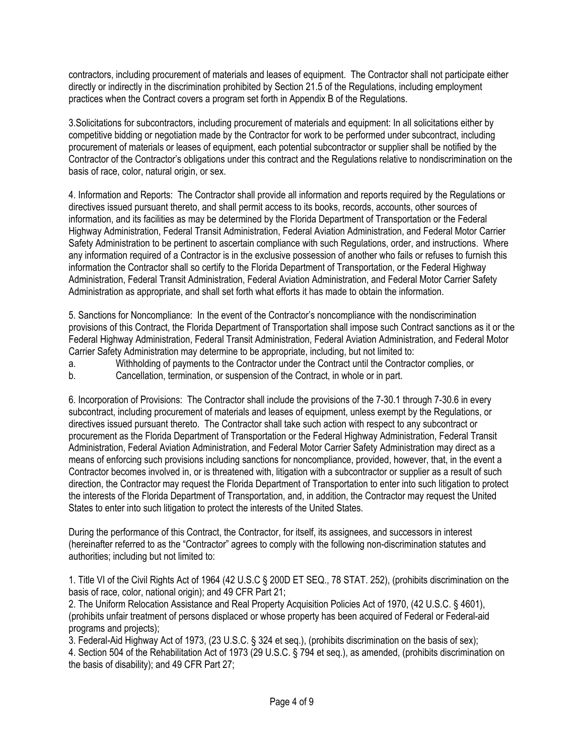contractors, including procurement of materials and leases of equipment. The Contractor shall not participate either directly or indirectly in the discrimination prohibited by Section 21.5 of the Regulations, including employment practices when the Contract covers a program set forth in Appendix B of the Regulations.

3.Solicitations for subcontractors, including procurement of materials and equipment: In all solicitations either by competitive bidding or negotiation made by the Contractor for work to be performed under subcontract, including procurement of materials or leases of equipment, each potential subcontractor or supplier shall be notified by the Contractor of the Contractor's obligations under this contract and the Regulations relative to nondiscrimination on the basis of race, color, natural origin, or sex.

4. Information and Reports: The Contractor shall provide all information and reports required by the Regulations or directives issued pursuant thereto, and shall permit access to its books, records, accounts, other sources of information, and its facilities as may be determined by the Florida Department of Transportation or the Federal Highway Administration, Federal Transit Administration, Federal Aviation Administration, and Federal Motor Carrier Safety Administration to be pertinent to ascertain compliance with such Regulations, order, and instructions. Where any information required of a Contractor is in the exclusive possession of another who fails or refuses to furnish this information the Contractor shall so certify to the Florida Department of Transportation, or the Federal Highway Administration, Federal Transit Administration, Federal Aviation Administration, and Federal Motor Carrier Safety Administration as appropriate, and shall set forth what efforts it has made to obtain the information.

5. Sanctions for Noncompliance: In the event of the Contractor's noncompliance with the nondiscrimination provisions of this Contract, the Florida Department of Transportation shall impose such Contract sanctions as it or the Federal Highway Administration, Federal Transit Administration, Federal Aviation Administration, and Federal Motor Carrier Safety Administration may determine to be appropriate, including, but not limited to:

a. Withholding of payments to the Contractor under the Contract until the Contractor complies, or

b. Cancellation, termination, or suspension of the Contract, in whole or in part.

6. Incorporation of Provisions: The Contractor shall include the provisions of the 7-30.1 through 7-30.6 in every subcontract, including procurement of materials and leases of equipment, unless exempt by the Regulations, or directives issued pursuant thereto. The Contractor shall take such action with respect to any subcontract or procurement as the Florida Department of Transportation or the Federal Highway Administration, Federal Transit Administration, Federal Aviation Administration, and Federal Motor Carrier Safety Administration may direct as a means of enforcing such provisions including sanctions for noncompliance, provided, however, that, in the event a Contractor becomes involved in, or is threatened with, litigation with a subcontractor or supplier as a result of such direction, the Contractor may request the Florida Department of Transportation to enter into such litigation to protect the interests of the Florida Department of Transportation, and, in addition, the Contractor may request the United States to enter into such litigation to protect the interests of the United States.

During the performance of this Contract, the Contractor, for itself, its assignees, and successors in interest (hereinafter referred to as the "Contractor" agrees to comply with the following non-discrimination statutes and authorities; including but not limited to:

1. Title VI of the Civil Rights Act of 1964 (42 U.S.C § 200D ET SEQ., 78 STAT. 252), (prohibits discrimination on the basis of race, color, national origin); and 49 CFR Part 21;

2. The Uniform Relocation Assistance and Real Property Acquisition Policies Act of 1970, (42 U.S.C. § 4601), (prohibits unfair treatment of persons displaced or whose property has been acquired of Federal or Federal-aid programs and projects);

3. Federal-Aid Highway Act of 1973, (23 U.S.C. § 324 et seq.), (prohibits discrimination on the basis of sex);

4. Section 504 of the Rehabilitation Act of 1973 (29 U.S.C. § 794 et seq.), as amended, (prohibits discrimination on the basis of disability); and 49 CFR Part 27;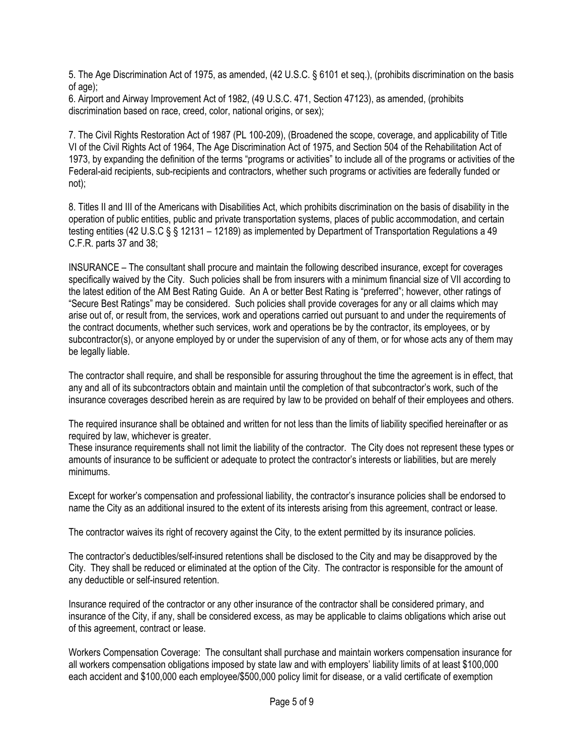5. The Age Discrimination Act of 1975, as amended, (42 U.S.C. § 6101 et seq.), (prohibits discrimination on the basis of age);

6. Airport and Airway Improvement Act of 1982, (49 U.S.C. 471, Section 47123), as amended, (prohibits discrimination based on race, creed, color, national origins, or sex);

7. The Civil Rights Restoration Act of 1987 (PL 100-209), (Broadened the scope, coverage, and applicability of Title VI of the Civil Rights Act of 1964, The Age Discrimination Act of 1975, and Section 504 of the Rehabilitation Act of 1973, by expanding the definition of the terms "programs or activities" to include all of the programs or activities of the Federal-aid recipients, sub-recipients and contractors, whether such programs or activities are federally funded or not);

8. Titles II and III of the Americans with Disabilities Act, which prohibits discrimination on the basis of disability in the operation of public entities, public and private transportation systems, places of public accommodation, and certain testing entities (42 U.S.C § § 12131 – 12189) as implemented by Department of Transportation Regulations a 49 C.F.R. parts 37 and 38;

INSURANCE – The consultant shall procure and maintain the following described insurance, except for coverages specifically waived by the City. Such policies shall be from insurers with a minimum financial size of VII according to the latest edition of the AM Best Rating Guide. An A or better Best Rating is "preferred"; however, other ratings of "Secure Best Ratings" may be considered. Such policies shall provide coverages for any or all claims which may arise out of, or result from, the services, work and operations carried out pursuant to and under the requirements of the contract documents, whether such services, work and operations be by the contractor, its employees, or by subcontractor(s), or anyone employed by or under the supervision of any of them, or for whose acts any of them may be legally liable.

The contractor shall require, and shall be responsible for assuring throughout the time the agreement is in effect, that any and all of its subcontractors obtain and maintain until the completion of that subcontractor's work, such of the insurance coverages described herein as are required by law to be provided on behalf of their employees and others.

The required insurance shall be obtained and written for not less than the limits of liability specified hereinafter or as required by law, whichever is greater.

These insurance requirements shall not limit the liability of the contractor. The City does not represent these types or amounts of insurance to be sufficient or adequate to protect the contractor's interests or liabilities, but are merely minimums.

Except for worker's compensation and professional liability, the contractor's insurance policies shall be endorsed to name the City as an additional insured to the extent of its interests arising from this agreement, contract or lease.

The contractor waives its right of recovery against the City, to the extent permitted by its insurance policies.

The contractor's deductibles/self-insured retentions shall be disclosed to the City and may be disapproved by the City. They shall be reduced or eliminated at the option of the City. The contractor is responsible for the amount of any deductible or self-insured retention.

Insurance required of the contractor or any other insurance of the contractor shall be considered primary, and insurance of the City, if any, shall be considered excess, as may be applicable to claims obligations which arise out of this agreement, contract or lease.

Workers Compensation Coverage: The consultant shall purchase and maintain workers compensation insurance for all workers compensation obligations imposed by state law and with employers' liability limits of at least \$100,000 each accident and \$100,000 each employee/\$500,000 policy limit for disease, or a valid certificate of exemption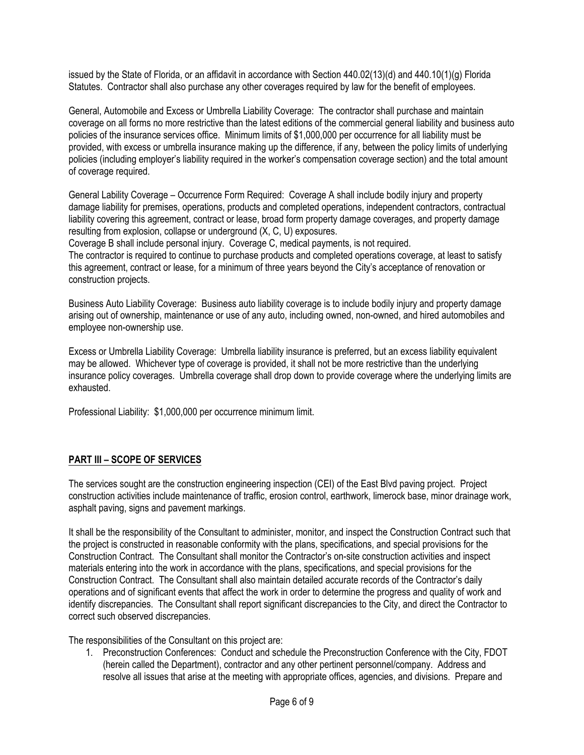issued by the State of Florida, or an affidavit in accordance with Section 440.02(13)(d) and 440.10(1)(g) Florida Statutes. Contractor shall also purchase any other coverages required by law for the benefit of employees.

General, Automobile and Excess or Umbrella Liability Coverage: The contractor shall purchase and maintain coverage on all forms no more restrictive than the latest editions of the commercial general liability and business auto policies of the insurance services office. Minimum limits of \$1,000,000 per occurrence for all liability must be provided, with excess or umbrella insurance making up the difference, if any, between the policy limits of underlying policies (including employer's liability required in the worker's compensation coverage section) and the total amount of coverage required.

General Lability Coverage – Occurrence Form Required: Coverage A shall include bodily injury and property damage liability for premises, operations, products and completed operations, independent contractors, contractual liability covering this agreement, contract or lease, broad form property damage coverages, and property damage resulting from explosion, collapse or underground (X, C, U) exposures.

Coverage B shall include personal injury. Coverage C, medical payments, is not required.

The contractor is required to continue to purchase products and completed operations coverage, at least to satisfy this agreement, contract or lease, for a minimum of three years beyond the City's acceptance of renovation or construction projects.

Business Auto Liability Coverage: Business auto liability coverage is to include bodily injury and property damage arising out of ownership, maintenance or use of any auto, including owned, non-owned, and hired automobiles and employee non-ownership use.

Excess or Umbrella Liability Coverage: Umbrella liability insurance is preferred, but an excess liability equivalent may be allowed. Whichever type of coverage is provided, it shall not be more restrictive than the underlying insurance policy coverages. Umbrella coverage shall drop down to provide coverage where the underlying limits are exhausted.

Professional Liability: \$1,000,000 per occurrence minimum limit.

# **PART III – SCOPE OF SERVICES**

The services sought are the construction engineering inspection (CEI) of the East Blvd paving project. Project construction activities include maintenance of traffic, erosion control, earthwork, limerock base, minor drainage work, asphalt paving, signs and pavement markings.

It shall be the responsibility of the Consultant to administer, monitor, and inspect the Construction Contract such that the project is constructed in reasonable conformity with the plans, specifications, and special provisions for the Construction Contract. The Consultant shall monitor the Contractor's on-site construction activities and inspect materials entering into the work in accordance with the plans, specifications, and special provisions for the Construction Contract. The Consultant shall also maintain detailed accurate records of the Contractor's daily operations and of significant events that affect the work in order to determine the progress and quality of work and identify discrepancies. The Consultant shall report significant discrepancies to the City, and direct the Contractor to correct such observed discrepancies.

The responsibilities of the Consultant on this project are:

1. Preconstruction Conferences: Conduct and schedule the Preconstruction Conference with the City, FDOT (herein called the Department), contractor and any other pertinent personnel/company. Address and resolve all issues that arise at the meeting with appropriate offices, agencies, and divisions. Prepare and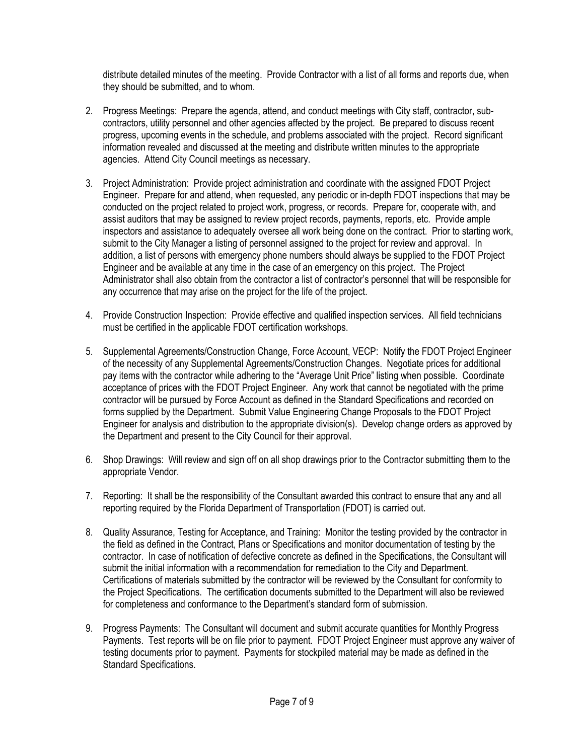distribute detailed minutes of the meeting. Provide Contractor with a list of all forms and reports due, when they should be submitted, and to whom.

- 2. Progress Meetings: Prepare the agenda, attend, and conduct meetings with City staff, contractor, subcontractors, utility personnel and other agencies affected by the project. Be prepared to discuss recent progress, upcoming events in the schedule, and problems associated with the project. Record significant information revealed and discussed at the meeting and distribute written minutes to the appropriate agencies. Attend City Council meetings as necessary.
- 3. Project Administration: Provide project administration and coordinate with the assigned FDOT Project Engineer. Prepare for and attend, when requested, any periodic or in-depth FDOT inspections that may be conducted on the project related to project work, progress, or records. Prepare for, cooperate with, and assist auditors that may be assigned to review project records, payments, reports, etc. Provide ample inspectors and assistance to adequately oversee all work being done on the contract. Prior to starting work, submit to the City Manager a listing of personnel assigned to the project for review and approval. In addition, a list of persons with emergency phone numbers should always be supplied to the FDOT Project Engineer and be available at any time in the case of an emergency on this project. The Project Administrator shall also obtain from the contractor a list of contractor's personnel that will be responsible for any occurrence that may arise on the project for the life of the project.
- 4. Provide Construction Inspection: Provide effective and qualified inspection services. All field technicians must be certified in the applicable FDOT certification workshops.
- 5. Supplemental Agreements/Construction Change, Force Account, VECP: Notify the FDOT Project Engineer of the necessity of any Supplemental Agreements/Construction Changes. Negotiate prices for additional pay items with the contractor while adhering to the "Average Unit Price" listing when possible. Coordinate acceptance of prices with the FDOT Project Engineer. Any work that cannot be negotiated with the prime contractor will be pursued by Force Account as defined in the Standard Specifications and recorded on forms supplied by the Department. Submit Value Engineering Change Proposals to the FDOT Project Engineer for analysis and distribution to the appropriate division(s). Develop change orders as approved by the Department and present to the City Council for their approval.
- 6. Shop Drawings: Will review and sign off on all shop drawings prior to the Contractor submitting them to the appropriate Vendor.
- 7. Reporting: It shall be the responsibility of the Consultant awarded this contract to ensure that any and all reporting required by the Florida Department of Transportation (FDOT) is carried out.
- 8. Quality Assurance, Testing for Acceptance, and Training: Monitor the testing provided by the contractor in the field as defined in the Contract, Plans or Specifications and monitor documentation of testing by the contractor. In case of notification of defective concrete as defined in the Specifications, the Consultant will submit the initial information with a recommendation for remediation to the City and Department. Certifications of materials submitted by the contractor will be reviewed by the Consultant for conformity to the Project Specifications. The certification documents submitted to the Department will also be reviewed for completeness and conformance to the Department's standard form of submission.
- 9. Progress Payments: The Consultant will document and submit accurate quantities for Monthly Progress Payments. Test reports will be on file prior to payment. FDOT Project Engineer must approve any waiver of testing documents prior to payment. Payments for stockpiled material may be made as defined in the Standard Specifications.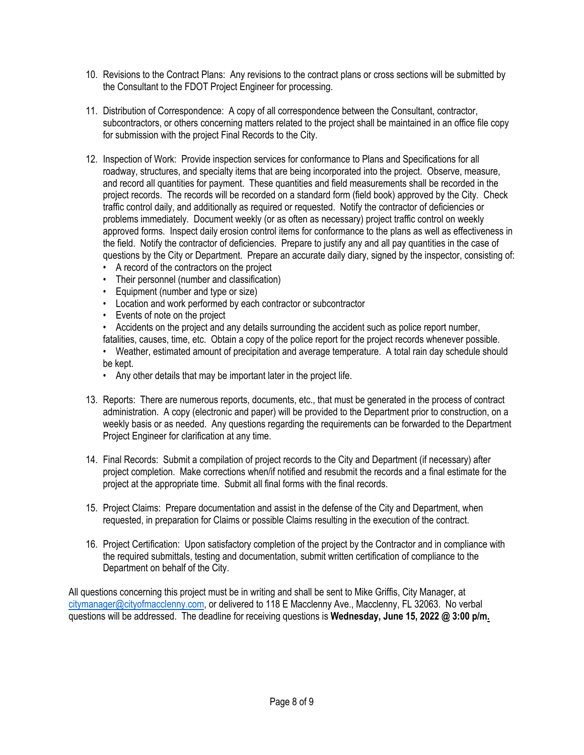- 10. Revisions to the Contract Plans: Any revisions to the contract plans or cross sections will be submitted by the Consultant to the FDOT Project Engineer for processing.
- 11. Distribution of Correspondence: A copy of all correspondence between the Consultant, contractor, subcontractors, or others concerning matters related to the project shall be maintained in an office file copy for submission with the project Final Records to the City.
- 12. Inspection of Work: Provide inspection services for conformance to Plans and Specifications for all roadway, structures, and specialty items that are being incorporated into the project. Observe, measure, and record all quantities for payment. These quantities and field measurements shall be recorded in the project records. The records will be recorded on a standard form (field book) approved by the City. Check traffic control daily, and additionally as required or requested. Notify the contractor of deficiencies or problems immediately. Document weekly (or as often as necessary) project traffic control on weekly approved forms. Inspect daily erosion control items for conformance to the plans as well as effectiveness in the field. Notify the contractor of deficiencies. Prepare to justify any and all pay quantities in the case of questions by the City or Department. Prepare an accurate daily diary, signed by the inspector, consisting of:
	- A record of the contractors on the project
	- Their personnel (number and classification)
	- Equipment (number and type or size)
	- Location and work performed by each contractor or subcontractor
	- Events of note on the project
	- Accidents on the project and any details surrounding the accident such as police report number,

fatalities, causes, time, etc. Obtain a copy of the police report for the project records whenever possible.

• Weather, estimated amount of precipitation and average temperature. A total rain day schedule should be kept.

- Any other details that may be important later in the project life.
- 13. Reports: There are numerous reports, documents, etc., that must be generated in the process of contract administration. A copy (electronic and paper) will be provided to the Department prior to construction, on a weekly basis or as needed. Any questions regarding the requirements can be forwarded to the Department Project Engineer for clarification at any time.
- 14. Final Records: Submit a compilation of project records to the City and Department (if necessary) after project completion. Make corrections when/if notified and resubmit the records and a final estimate for the project at the appropriate time. Submit all final forms with the final records.
- 15. Project Claims: Prepare documentation and assist in the defense of the City and Department, when requested, in preparation for Claims or possible Claims resulting in the execution of the contract.
- 16. Project Certification: Upon satisfactory completion of the project by the Contractor and in compliance with the required submittals, testing and documentation, submit written certification of compliance to the Department on behalf of the City.

All questions concerning this project must be in writing and shall be sent to Mike Griffis, City Manager, at [citymanager@cityofmacclenny.com](mailto:citymanager@cityofmacclenny.com), or delivered to 118 E Macclenny Ave., Macclenny, FL 32063. No verbal questions will be addressed. The deadline for receiving questions is **Wednesday, June 15, 2022 @ 3:00 p/m.**